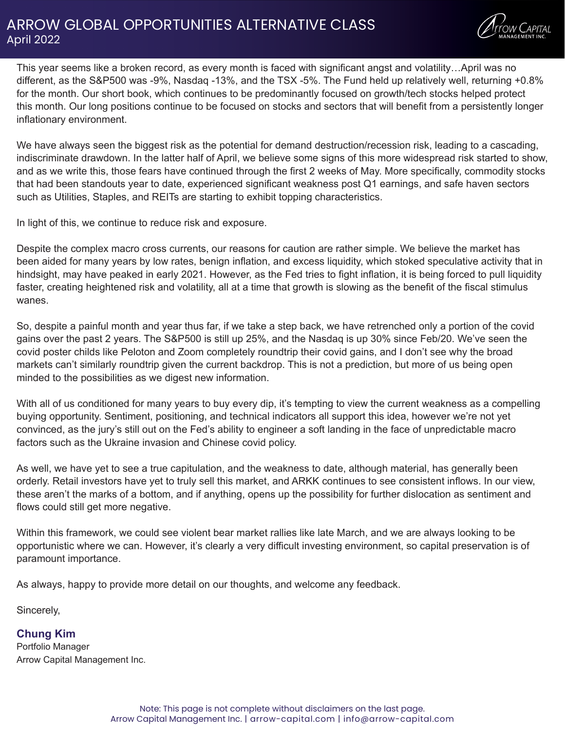## ARROW GLOBAL OPPORTUNITIES ALTERNATIVE CLASS April 2022



This year seems like a broken record, as every month is faced with significant angst and volatility…April was no different, as the S&P500 was -9%, Nasdaq -13%, and the TSX -5%. The Fund held up relatively well, returning +0.8% for the month. Our short book, which continues to be predominantly focused on growth/tech stocks helped protect this month. Our long positions continue to be focused on stocks and sectors that will benefit from a persistently longer inflationary environment.

We have always seen the biggest risk as the potential for demand destruction/recession risk, leading to a cascading, indiscriminate drawdown. In the latter half of April, we believe some signs of this more widespread risk started to show, and as we write this, those fears have continued through the first 2 weeks of May. More specifically, commodity stocks that had been standouts year to date, experienced significant weakness post Q1 earnings, and safe haven sectors such as Utilities, Staples, and REITs are starting to exhibit topping characteristics.

In light of this, we continue to reduce risk and exposure.

Despite the complex macro cross currents, our reasons for caution are rather simple. We believe the market has been aided for many years by low rates, benign inflation, and excess liquidity, which stoked speculative activity that in hindsight, may have peaked in early 2021. However, as the Fed tries to fight inflation, it is being forced to pull liquidity faster, creating heightened risk and volatility, all at a time that growth is slowing as the benefit of the fiscal stimulus wanes.

So, despite a painful month and year thus far, if we take a step back, we have retrenched only a portion of the covid gains over the past 2 years. The S&P500 is still up 25%, and the Nasdaq is up 30% since Feb/20. We've seen the covid poster childs like Peloton and Zoom completely roundtrip their covid gains, and I don't see why the broad markets can't similarly roundtrip given the current backdrop. This is not a prediction, but more of us being open minded to the possibilities as we digest new information.

With all of us conditioned for many years to buy every dip, it's tempting to view the current weakness as a compelling buying opportunity. Sentiment, positioning, and technical indicators all support this idea, however we're not yet convinced, as the jury's still out on the Fed's ability to engineer a soft landing in the face of unpredictable macro factors such as the Ukraine invasion and Chinese covid policy.

As well, we have yet to see a true capitulation, and the weakness to date, although material, has generally been orderly. Retail investors have yet to truly sell this market, and ARKK continues to see consistent inflows. In our view, these aren't the marks of a bottom, and if anything, opens up the possibility for further dislocation as sentiment and flows could still get more negative.

Within this framework, we could see violent bear market rallies like late March, and we are always looking to be opportunistic where we can. However, it's clearly a very difficult investing environment, so capital preservation is of paramount importance.

As always, happy to provide more detail on our thoughts, and welcome any feedback.

Sincerely,

**Chung Kim** Portfolio Manager Arrow Capital Management Inc.